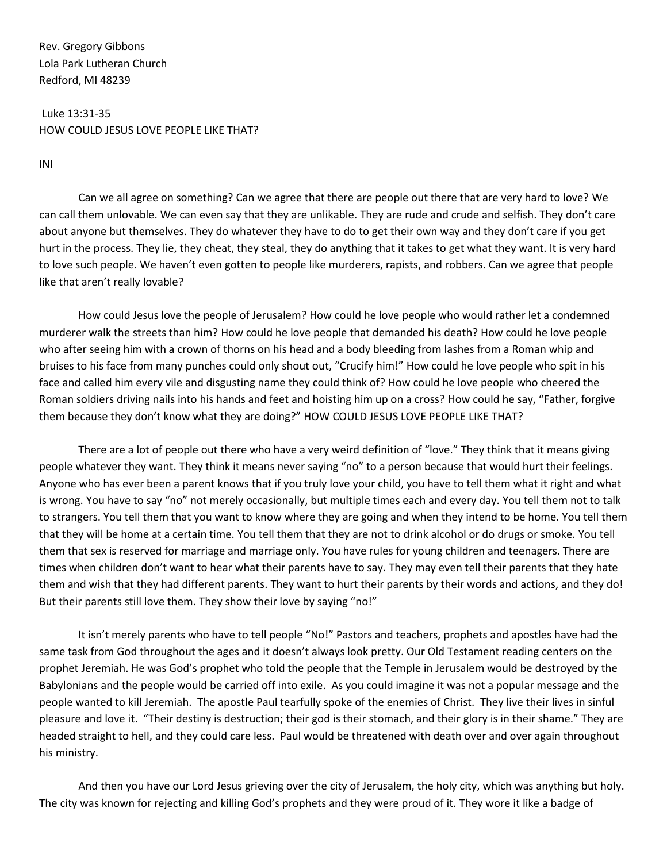Rev. Gregory Gibbons Lola Park Lutheran Church Redford, MI 48239

Luke 13:31-35 HOW COULD JESUS LOVE PEOPLE LIKE THAT?

INI

Can we all agree on something? Can we agree that there are people out there that are very hard to love? We can call them unlovable. We can even say that they are unlikable. They are rude and crude and selfish. They don't care about anyone but themselves. They do whatever they have to do to get their own way and they don't care if you get hurt in the process. They lie, they cheat, they steal, they do anything that it takes to get what they want. It is very hard to love such people. We haven't even gotten to people like murderers, rapists, and robbers. Can we agree that people like that aren't really lovable?

How could Jesus love the people of Jerusalem? How could he love people who would rather let a condemned murderer walk the streets than him? How could he love people that demanded his death? How could he love people who after seeing him with a crown of thorns on his head and a body bleeding from lashes from a Roman whip and bruises to his face from many punches could only shout out, "Crucify him!" How could he love people who spit in his face and called him every vile and disgusting name they could think of? How could he love people who cheered the Roman soldiers driving nails into his hands and feet and hoisting him up on a cross? How could he say, "Father, forgive them because they don't know what they are doing?" HOW COULD JESUS LOVE PEOPLE LIKE THAT?

There are a lot of people out there who have a very weird definition of "love." They think that it means giving people whatever they want. They think it means never saying "no" to a person because that would hurt their feelings. Anyone who has ever been a parent knows that if you truly love your child, you have to tell them what it right and what is wrong. You have to say "no" not merely occasionally, but multiple times each and every day. You tell them not to talk to strangers. You tell them that you want to know where they are going and when they intend to be home. You tell them that they will be home at a certain time. You tell them that they are not to drink alcohol or do drugs or smoke. You tell them that sex is reserved for marriage and marriage only. You have rules for young children and teenagers. There are times when children don't want to hear what their parents have to say. They may even tell their parents that they hate them and wish that they had different parents. They want to hurt their parents by their words and actions, and they do! But their parents still love them. They show their love by saying "no!"

It isn't merely parents who have to tell people "No!" Pastors and teachers, prophets and apostles have had the same task from God throughout the ages and it doesn't always look pretty. Our Old Testament reading centers on the prophet Jeremiah. He was God's prophet who told the people that the Temple in Jerusalem would be destroyed by the Babylonians and the people would be carried off into exile. As you could imagine it was not a popular message and the people wanted to kill Jeremiah. The apostle Paul tearfully spoke of the enemies of Christ. They live their lives in sinful pleasure and love it. "Their destiny is destruction; their god is their stomach, and their glory is in their shame." They are headed straight to hell, and they could care less. Paul would be threatened with death over and over again throughout his ministry.

And then you have our Lord Jesus grieving over the city of Jerusalem, the holy city, which was anything but holy. The city was known for rejecting and killing God's prophets and they were proud of it. They wore it like a badge of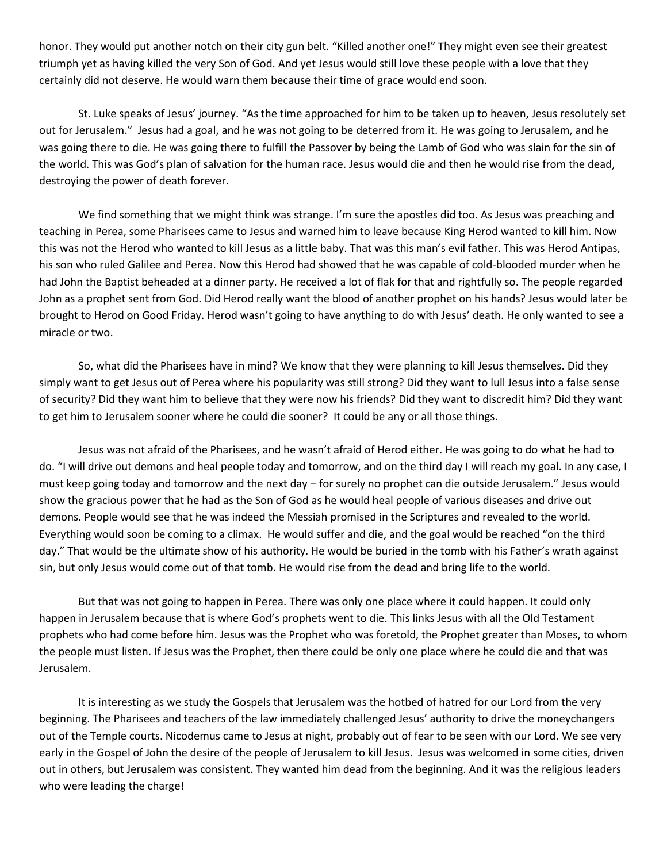honor. They would put another notch on their city gun belt. "Killed another one!" They might even see their greatest triumph yet as having killed the very Son of God. And yet Jesus would still love these people with a love that they certainly did not deserve. He would warn them because their time of grace would end soon.

St. Luke speaks of Jesus' journey. "As the time approached for him to be taken up to heaven, Jesus resolutely set out for Jerusalem." Jesus had a goal, and he was not going to be deterred from it. He was going to Jerusalem, and he was going there to die. He was going there to fulfill the Passover by being the Lamb of God who was slain for the sin of the world. This was God's plan of salvation for the human race. Jesus would die and then he would rise from the dead, destroying the power of death forever.

We find something that we might think was strange. I'm sure the apostles did too. As Jesus was preaching and teaching in Perea, some Pharisees came to Jesus and warned him to leave because King Herod wanted to kill him. Now this was not the Herod who wanted to kill Jesus as a little baby. That was this man's evil father. This was Herod Antipas, his son who ruled Galilee and Perea. Now this Herod had showed that he was capable of cold-blooded murder when he had John the Baptist beheaded at a dinner party. He received a lot of flak for that and rightfully so. The people regarded John as a prophet sent from God. Did Herod really want the blood of another prophet on his hands? Jesus would later be brought to Herod on Good Friday. Herod wasn't going to have anything to do with Jesus' death. He only wanted to see a miracle or two.

So, what did the Pharisees have in mind? We know that they were planning to kill Jesus themselves. Did they simply want to get Jesus out of Perea where his popularity was still strong? Did they want to lull Jesus into a false sense of security? Did they want him to believe that they were now his friends? Did they want to discredit him? Did they want to get him to Jerusalem sooner where he could die sooner? It could be any or all those things.

Jesus was not afraid of the Pharisees, and he wasn't afraid of Herod either. He was going to do what he had to do. "I will drive out demons and heal people today and tomorrow, and on the third day I will reach my goal. In any case, I must keep going today and tomorrow and the next day – for surely no prophet can die outside Jerusalem." Jesus would show the gracious power that he had as the Son of God as he would heal people of various diseases and drive out demons. People would see that he was indeed the Messiah promised in the Scriptures and revealed to the world. Everything would soon be coming to a climax. He would suffer and die, and the goal would be reached "on the third day." That would be the ultimate show of his authority. He would be buried in the tomb with his Father's wrath against sin, but only Jesus would come out of that tomb. He would rise from the dead and bring life to the world.

But that was not going to happen in Perea. There was only one place where it could happen. It could only happen in Jerusalem because that is where God's prophets went to die. This links Jesus with all the Old Testament prophets who had come before him. Jesus was the Prophet who was foretold, the Prophet greater than Moses, to whom the people must listen. If Jesus was the Prophet, then there could be only one place where he could die and that was Jerusalem.

It is interesting as we study the Gospels that Jerusalem was the hotbed of hatred for our Lord from the very beginning. The Pharisees and teachers of the law immediately challenged Jesus' authority to drive the moneychangers out of the Temple courts. Nicodemus came to Jesus at night, probably out of fear to be seen with our Lord. We see very early in the Gospel of John the desire of the people of Jerusalem to kill Jesus. Jesus was welcomed in some cities, driven out in others, but Jerusalem was consistent. They wanted him dead from the beginning. And it was the religious leaders who were leading the charge!